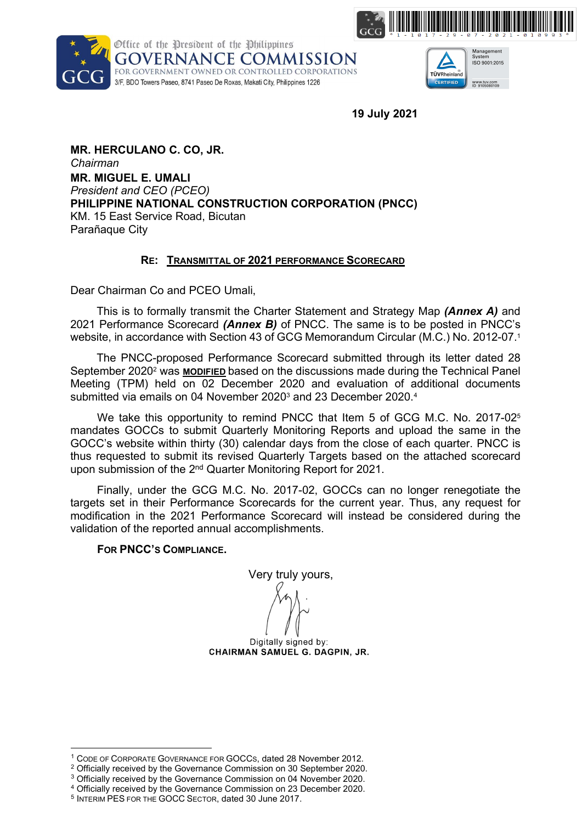





19 July 2021

MR. HERCULANO C. CO, JR. Chairman MR. MIGUEL E. UMALI President and CEO (PCEO) PHILIPPINE NATIONAL CONSTRUCTION CORPORATION (PNCC) KM. 15 East Service Road, Bicutan Parañaque City

### RE: TRANSMITTAL OF 2021 PERFORMANCE SCORECARD

Dear Chairman Co and PCEO Umali,

This is to formally transmit the Charter Statement and Strategy Map (**Annex A**) and 2021 Performance Scorecard (Annex B) of PNCC. The same is to be posted in PNCC's website, in accordance with Section 43 of GCG Memorandum Circular (M.C.) No. 2012-07.<sup>1</sup>

The PNCC-proposed Performance Scorecard submitted through its letter dated 28 September 2020<sup>2</sup> was **MODIFIED** based on the discussions made during the Technical Panel Meeting (TPM) held on 02 December 2020 and evaluation of additional documents submitted via emails on 04 November 2020<sup>3</sup> and 23 December 2020.<sup>4</sup>

We take this opportunity to remind PNCC that Item 5 of GCG M.C. No. 2017-02<sup>5</sup> mandates GOCCs to submit Quarterly Monitoring Reports and upload the same in the GOCC's website within thirty (30) calendar days from the close of each quarter. PNCC is thus requested to submit its revised Quarterly Targets based on the attached scorecard upon submission of the 2<sup>nd</sup> Quarter Monitoring Report for 2021.

Finally, under the GCG M.C. No. 2017-02, GOCCs can no longer renegotiate the targets set in their Performance Scorecards for the current year. Thus, any request for modification in the 2021 Performance Scorecard will instead be considered during the validation of the reported annual accomplishments.

FOR PNCC'S COMPLIANCE.

Very truly yours,

Digitally signed by:<br>CHAIRMAN SAMUEL G. DAGPIN, JR.

Digitally signed by: **COMMISSIONER MARITES C. DORAL** 

<sup>1</sup> CODE OF CORPORATE GOVERNANCE FOR GOCCS, dated 28 November 2012.

<sup>&</sup>lt;sup>2</sup> Officially received by the Governance Commission on 30 September 2020.

<sup>&</sup>lt;sup>3</sup> Officially received by the Governance Commission on 04 November 2020.

<sup>4</sup> Officially received by the Governance Commission on 23 December 2020.

<sup>5</sup> INTERIM PES FOR THE GOCC SECTOR, dated 30 June 2017.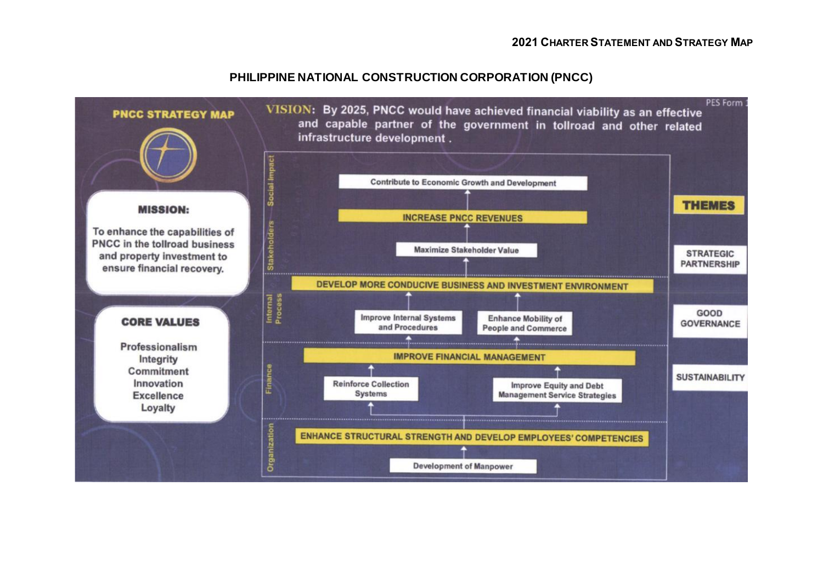### **PHILIPPINE NATIONAL CONSTRUCTION CORPORATION (PNCC)**

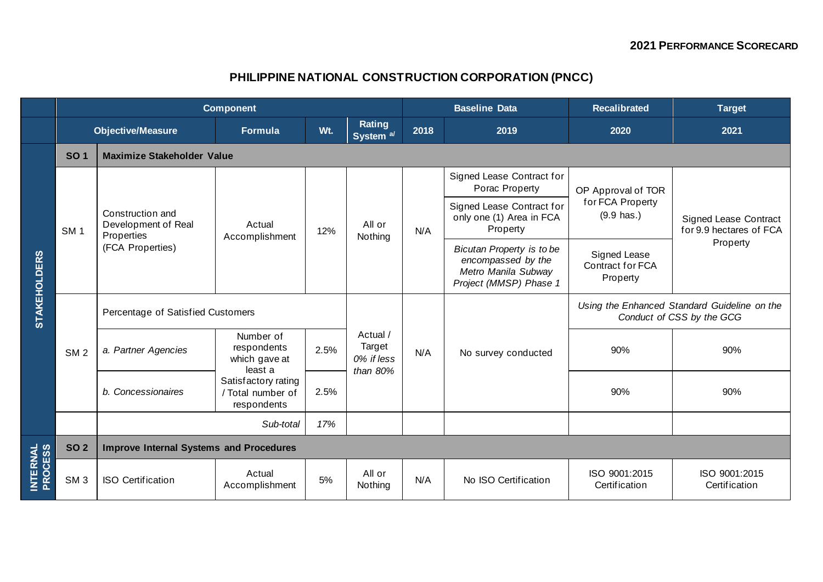# **PHILIPPINE NATIONAL CONSTRUCTION CORPORATION (PNCC)**

|                             | <b>Component</b>         |                                                                           |                                                         |      |                                              | <b>Baseline Data</b> |                                                                                                  | <b>Recalibrated</b>                                                       | <b>Target</b>                                                       |  |  |
|-----------------------------|--------------------------|---------------------------------------------------------------------------|---------------------------------------------------------|------|----------------------------------------------|----------------------|--------------------------------------------------------------------------------------------------|---------------------------------------------------------------------------|---------------------------------------------------------------------|--|--|
|                             | <b>Objective/Measure</b> |                                                                           | <b>Formula</b>                                          | Wt.  | Rating<br>System <sup>a/</sup>               | 2018                 | 2019                                                                                             | 2020                                                                      | 2021                                                                |  |  |
| <b>STAKEHOLDERS</b>         | <b>SO1</b>               | <b>Maximize Stakeholder Value</b>                                         |                                                         |      |                                              |                      |                                                                                                  |                                                                           |                                                                     |  |  |
|                             | SM <sub>1</sub>          | Construction and<br>Development of Real<br>Properties<br>(FCA Properties) | Actual<br>Accomplishment                                | 12%  | All or<br>Nothing                            | N/A                  | Signed Lease Contract for<br>Porac Property                                                      | OP Approval of TOR<br>for FCA Property<br>$(9.9 \text{ has.})$            | <b>Signed Lease Contract</b><br>for 9.9 hectares of FCA<br>Property |  |  |
|                             |                          |                                                                           |                                                         |      |                                              |                      | Signed Lease Contract for<br>only one (1) Area in FCA<br>Property                                |                                                                           |                                                                     |  |  |
|                             |                          |                                                                           |                                                         |      |                                              |                      | Bicutan Property is to be<br>encompassed by the<br>Metro Manila Subway<br>Project (MMSP) Phase 1 | Signed Lease<br>Contract for FCA<br>Property                              |                                                                     |  |  |
|                             | SM <sub>2</sub>          | Percentage of Satisfied Customers                                         |                                                         |      |                                              |                      |                                                                                                  | Using the Enhanced Standard Guideline on the<br>Conduct of CSS by the GCG |                                                                     |  |  |
|                             |                          | a. Partner Agencies                                                       | Number of<br>respondents<br>which gave at<br>least a    | 2.5% | Actual /<br>Target<br>0% if less<br>than 80% | N/A                  | No survey conducted                                                                              | 90%                                                                       | 90%                                                                 |  |  |
|                             |                          | b. Concessionaires                                                        | Satisfactory rating<br>/ Total number of<br>respondents | 2.5% |                                              |                      |                                                                                                  | 90%                                                                       | 90%                                                                 |  |  |
|                             |                          |                                                                           | Sub-total                                               | 17%  |                                              |                      |                                                                                                  |                                                                           |                                                                     |  |  |
| <b>INTERNAL<br/>PROCESS</b> | <b>SO 2</b>              | <b>Improve Internal Systems and Procedures</b>                            |                                                         |      |                                              |                      |                                                                                                  |                                                                           |                                                                     |  |  |
|                             | SM <sub>3</sub>          | <b>ISO Certification</b>                                                  | Actual<br>Accomplishment                                | 5%   | All or<br>Nothing                            | N/A                  | No ISO Certification                                                                             | ISO 9001:2015<br>Certification                                            | ISO 9001:2015<br>Certification                                      |  |  |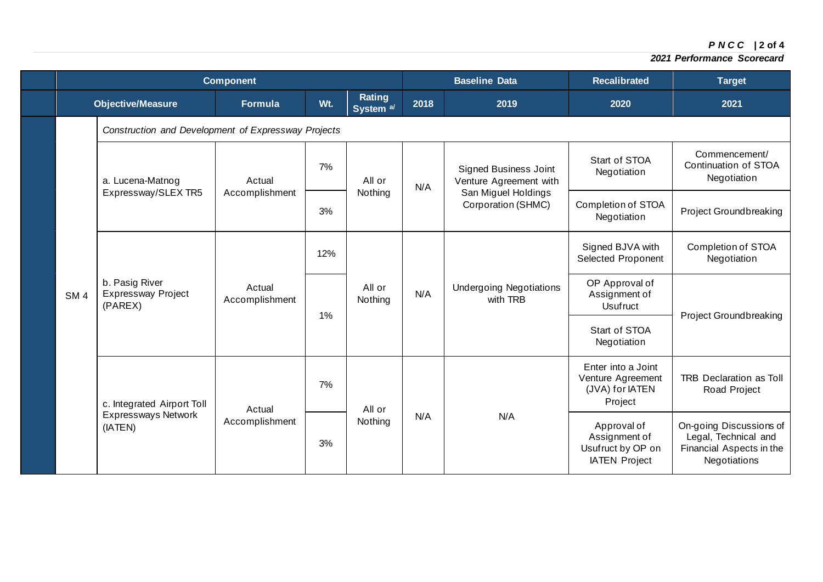*P N C C* **| 2 of 4**

|  | <b>Component</b> |                                                                     |                          |     |                                | <b>Baseline Data</b> |                                                        | <b>Recalibrated</b>                                                       | <b>Target</b>                                                                               |  |
|--|------------------|---------------------------------------------------------------------|--------------------------|-----|--------------------------------|----------------------|--------------------------------------------------------|---------------------------------------------------------------------------|---------------------------------------------------------------------------------------------|--|
|  |                  | <b>Objective/Measure</b>                                            | <b>Formula</b>           | Wt. | Rating<br>System <sup>a/</sup> | 2018                 | 2019                                                   | 2020                                                                      | 2021                                                                                        |  |
|  |                  | Construction and Development of Expressway Projects                 |                          |     |                                |                      |                                                        |                                                                           |                                                                                             |  |
|  |                  | a. Lucena-Matnog                                                    | Actual                   | 7%  | All or                         | N/A                  | <b>Signed Business Joint</b><br>Venture Agreement with | Start of STOA<br>Negotiation                                              | Commencement/<br>Continuation of STOA<br>Negotiation                                        |  |
|  |                  | Expressway/SLEX TR5                                                 | Accomplishment           | 3%  | Nothing                        |                      | San Miguel Holdings<br>Corporation (SHMC)              | Completion of STOA<br>Negotiation                                         | Project Groundbreaking                                                                      |  |
|  |                  | b. Pasig River<br>Actual<br><b>Expressway Project</b><br>(PAREX)    |                          | 12% | All or<br>Nothing              | N/A                  | <b>Undergoing Negotiations</b><br>with TRB             | Signed BJVA with<br>Selected Proponent                                    | Completion of STOA<br>Negotiation                                                           |  |
|  | SM <sub>4</sub>  |                                                                     | Accomplishment           | 1%  |                                |                      |                                                        | OP Approval of<br>Assignment of<br><b>Usufruct</b>                        |                                                                                             |  |
|  |                  |                                                                     |                          |     |                                |                      |                                                        | Start of STOA<br>Negotiation                                              | <b>Project Groundbreaking</b>                                                               |  |
|  |                  | c. Integrated Airport Toll<br><b>Expressways Network</b><br>(IATEN) | Actual<br>Accomplishment | 7%  | All or<br>Nothing              | N/A                  | N/A                                                    | Enter into a Joint<br>Venture Agreement<br>(JVA) for IATEN<br>Project     | <b>TRB Declaration as Toll</b><br>Road Project                                              |  |
|  |                  |                                                                     |                          | 3%  |                                |                      |                                                        | Approval of<br>Assignment of<br>Usufruct by OP on<br><b>IATEN Project</b> | On-going Discussions of<br>Legal, Technical and<br>Financial Aspects in the<br>Negotiations |  |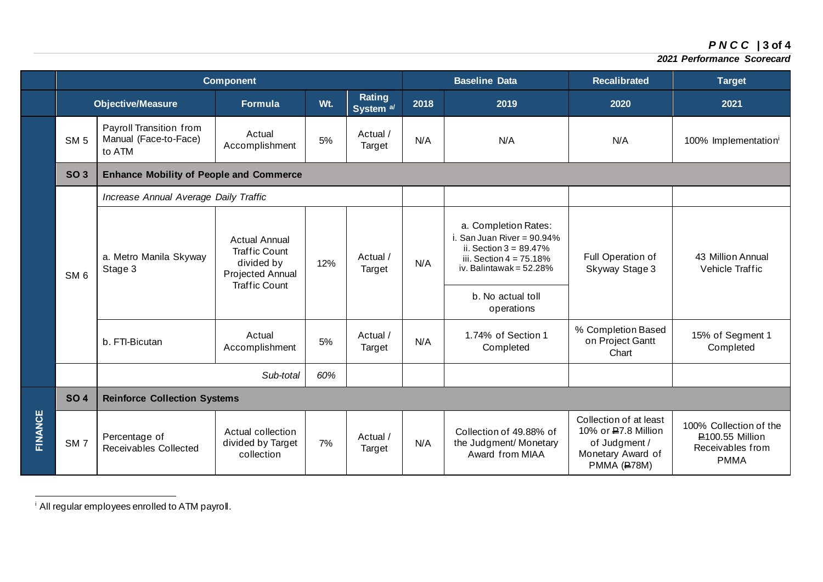## *P N C C* **| 3 of 4**

#### *2021 Performance Scorecard*

|         | <b>Component</b>         |                                                            |                                                                                                        |     |                                | <b>Baseline Data</b> |                                                                                                                                                                                   | <b>Recalibrated</b>                                                                                 | <b>Target</b>                                                                       |  |
|---------|--------------------------|------------------------------------------------------------|--------------------------------------------------------------------------------------------------------|-----|--------------------------------|----------------------|-----------------------------------------------------------------------------------------------------------------------------------------------------------------------------------|-----------------------------------------------------------------------------------------------------|-------------------------------------------------------------------------------------|--|
|         | <b>Objective/Measure</b> |                                                            | <b>Formula</b>                                                                                         | Wt. | Rating<br>System <sup>a/</sup> | 2018                 | 2019                                                                                                                                                                              | 2020                                                                                                | 2021                                                                                |  |
|         | SM <sub>5</sub>          | Payroll Transition from<br>Manual (Face-to-Face)<br>to ATM | Actual<br>Accomplishment                                                                               | 5%  | Actual /<br>Target             | N/A                  | N/A                                                                                                                                                                               | N/A                                                                                                 | 100% Implementation <sup>i</sup>                                                    |  |
|         | <b>SO 3</b>              | <b>Enhance Mobility of People and Commerce</b>             |                                                                                                        |     |                                |                      |                                                                                                                                                                                   |                                                                                                     |                                                                                     |  |
|         |                          | Increase Annual Average Daily Traffic                      |                                                                                                        |     |                                |                      |                                                                                                                                                                                   |                                                                                                     |                                                                                     |  |
|         | SM <sub>6</sub>          | a. Metro Manila Skyway<br>Stage 3                          | <b>Actual Annual</b><br><b>Traffic Count</b><br>divided by<br>Projected Annual<br><b>Traffic Count</b> | 12% | Actual /<br>Target             | N/A                  | a. Completion Rates:<br>i. San Juan River = $90.94\%$<br>ii. Section $3 = 89.47\%$<br>iii. Section $4 = 75.18\%$<br>iv. Balintawak = $52.28\%$<br>b. No actual toll<br>operations | Full Operation of<br>Skyway Stage 3                                                                 | 43 Million Annual<br>Vehicle Traffic                                                |  |
|         |                          | b. FTI-Bicutan                                             | Actual<br>Accomplishment                                                                               | 5%  | Actual /<br>Target             | N/A                  | 1.74% of Section 1<br>Completed                                                                                                                                                   | % Completion Based<br>on Project Gantt<br>Chart                                                     | 15% of Segment 1<br>Completed                                                       |  |
|         |                          |                                                            | Sub-total                                                                                              | 60% |                                |                      |                                                                                                                                                                                   |                                                                                                     |                                                                                     |  |
| FINANCE | <b>SO4</b>               | <b>Reinforce Collection Systems</b>                        |                                                                                                        |     |                                |                      |                                                                                                                                                                                   |                                                                                                     |                                                                                     |  |
|         | SM <sub>7</sub>          | Percentage of<br>Receivables Collected                     | Actual collection<br>divided by Target<br>collection                                                   | 7%  | Actual /<br>Target             | N/A                  | Collection of 49.88% of<br>the Judgment/ Monetary<br>Award from MIAA                                                                                                              | Collection of at least<br>10% or P.7.8 Million<br>of Judgment /<br>Monetary Award of<br>PMMA (P78M) | 100% Collection of the<br><b>P100.55 Million</b><br>Receivables from<br><b>PMMA</b> |  |

<sup>&</sup>lt;sup>i</sup> All regular employees enrolled to ATM payroll.